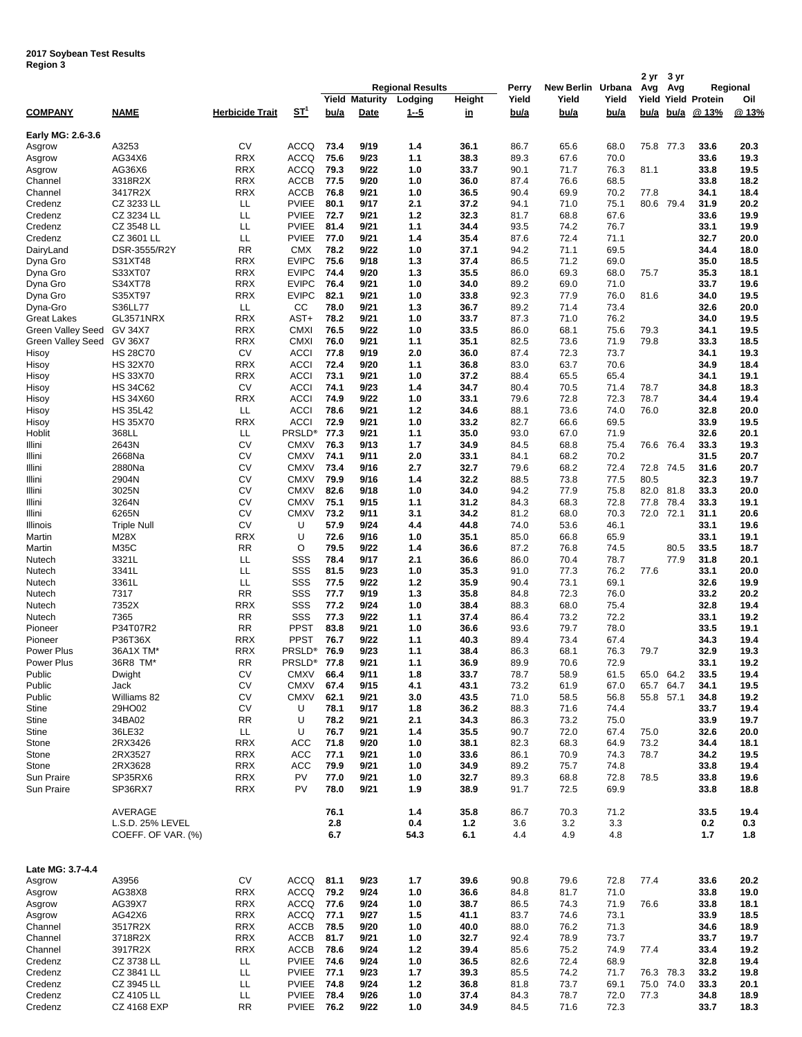| negiun a                  |                    |                        |                       |      |                       |                         |              |       |                   |       | 2 yr | 3 yr      |                            |          |
|---------------------------|--------------------|------------------------|-----------------------|------|-----------------------|-------------------------|--------------|-------|-------------------|-------|------|-----------|----------------------------|----------|
|                           |                    |                        |                       |      |                       | <b>Regional Results</b> |              | Perry | New Berlin Urbana |       | Avg  | Avg       |                            | Regional |
|                           |                    |                        |                       |      | <b>Yield Maturity</b> | Lodging                 | Height       | Yield | Yield             | Yield |      |           | <b>Yield Yield Protein</b> | Oil      |
| <b>COMPANY</b>            | <b>NAME</b>        | <b>Herbicide Trait</b> | <u>ST<sup>1</sup></u> | bu/a | <b>Date</b>           | <u>1--5</u>             | <u>in</u>    | bu/a  | bu/a              | bu/a  | bu/a | bu/a      | @ 13%                      | @13%     |
|                           |                    |                        |                       |      |                       |                         |              |       |                   |       |      |           |                            |          |
| Early MG: 2.6-3.6         |                    |                        |                       |      |                       |                         |              |       |                   |       |      |           |                            |          |
| Asgrow                    | A3253              | CV                     | <b>ACCQ</b>           | 73.4 | 9/19                  | 1.4                     | 36.1         | 86.7  | 65.6              | 68.0  |      | 75.8 77.3 | 33.6                       | 20.3     |
| Asgrow                    | AG34X6             | <b>RRX</b>             | <b>ACCQ</b>           | 75.6 | 9/23                  | 1.1                     | 38.3         | 89.3  | 67.6              | 70.0  |      |           | 33.6                       | 19.3     |
| Asgrow                    | AG36X6             | <b>RRX</b>             | <b>ACCQ</b>           | 79.3 | 9/22                  | 1.0                     | 33.7         | 90.1  | 71.7              | 76.3  | 81.1 |           | 33.8                       | 19.5     |
| Channel                   | 3318R2X            | <b>RRX</b>             | <b>ACCB</b>           | 77.5 | 9/20                  | 1.0                     | 36.0         | 87.4  | 76.6              | 68.5  |      |           | 33.8                       | 18.2     |
| Channel                   | 3417R2X            | <b>RRX</b>             | <b>ACCB</b>           | 76.8 | 9/21                  | 1.0                     | 36.5         | 90.4  | 69.9              | 70.2  | 77.8 |           | 34.1                       | 18.4     |
| Credenz                   | CZ 3233 LL         | ᄔ                      | <b>PVIEE</b>          | 80.1 | 9/17                  | 2.1                     | 37.2         | 94.1  | 71.0              | 75.1  |      | 80.6 79.4 | 31.9                       | 20.2     |
| Credenz                   | CZ 3234 LL         | LL                     | <b>PVIEE</b>          | 72.7 | 9/21                  | $1.2$                   | 32.3         | 81.7  | 68.8              | 67.6  |      |           | 33.6                       | 19.9     |
| Credenz                   | CZ 3548 LL         | LL                     | <b>PVIEE</b>          | 81.4 | 9/21                  | 1.1                     | 34.4         | 93.5  | 74.2              | 76.7  |      |           | 33.1                       | 19.9     |
| Credenz                   | CZ 3601 LL         | LL                     | <b>PVIEE</b>          | 77.0 | 9/21                  | 1.4                     | 35.4         | 87.6  | 72.4              | 71.1  |      |           | 32.7                       | 20.0     |
|                           | DSR-3555/R2Y       | RR                     | <b>CMX</b>            | 78.2 | 9/22                  | 1.0                     |              |       | 71.1              | 69.5  |      |           | 34.4                       | 18.0     |
| DairyLand                 | S31XT48            | <b>RRX</b>             | <b>EVIPC</b>          | 75.6 | 9/18                  | 1.3                     | 37.1<br>37.4 | 94.2  | 71.2              | 69.0  |      |           | 35.0                       | 18.5     |
| Dyna Gro                  |                    |                        |                       |      |                       |                         |              | 86.5  |                   |       |      |           |                            |          |
| Dyna Gro                  | S33XT07            | <b>RRX</b>             | <b>EVIPC</b>          | 74.4 | 9/20                  | 1.3                     | 35.5         | 86.0  | 69.3              | 68.0  | 75.7 |           | 35.3                       | 18.1     |
| Dyna Gro                  | S34XT78            | <b>RRX</b>             | <b>EVIPC</b>          | 76.4 | 9/21                  | 1.0                     | 34.0         | 89.2  | 69.0              | 71.0  |      |           | 33.7                       | 19.6     |
| Dyna Gro                  | S35XT97            | <b>RRX</b>             | <b>EVIPC</b>          | 82.1 | 9/21                  | 1.0                     | 33.8         | 92.3  | 77.9              | 76.0  | 81.6 |           | 34.0                       | 19.5     |
| Dyna-Gro                  | S36LL77            | LL                     | CC                    | 78.0 | 9/21                  | 1.3                     | 36.7         | 89.2  | 71.4              | 73.4  |      |           | 32.6                       | 20.0     |
| Great Lakes               | GL3571NRX          | <b>RRX</b>             | AST+                  | 78.2 | 9/21                  | 1.0                     | 33.7         | 87.3  | 71.0              | 76.2  |      |           | 34.0                       | 19.5     |
| Green Valley Seed GV 34X7 |                    | <b>RRX</b>             | <b>CMXI</b>           | 76.5 | 9/22                  | 1.0                     | 33.5         | 86.0  | 68.1              | 75.6  | 79.3 |           | 34.1                       | 19.5     |
| Green Valley Seed GV 36X7 |                    | <b>RRX</b>             | <b>CMXI</b>           | 76.0 | 9/21                  | 1.1                     | 35.1         | 82.5  | 73.6              | 71.9  | 79.8 |           | 33.3                       | 18.5     |
| Hisoy                     | <b>HS 28C70</b>    | CV                     | <b>ACCI</b>           | 77.8 | 9/19                  | 2.0                     | 36.0         | 87.4  | 72.3              | 73.7  |      |           | 34.1                       | 19.3     |
| Hisoy                     | <b>HS 32X70</b>    | <b>RRX</b>             | <b>ACCI</b>           | 72.4 | 9/20                  | 1.1                     | 36.8         | 83.0  | 63.7              | 70.6  |      |           | 34.9                       | 18.4     |
| Hisoy                     | <b>HS 33X70</b>    | <b>RRX</b>             | <b>ACCI</b>           | 73.1 | 9/21                  | 1.0                     | 37.2         | 88.4  | 65.5              | 65.4  |      |           | 34.1                       | 19.1     |
| Hisoy                     | <b>HS 34C62</b>    | CV                     | <b>ACCI</b>           | 74.1 | 9/23                  | 1.4                     | 34.7         | 80.4  | 70.5              | 71.4  | 78.7 |           | 34.8                       | 18.3     |
| Hisoy                     | <b>HS 34X60</b>    | <b>RRX</b>             | <b>ACCI</b>           | 74.9 | 9/22                  | 1.0                     | 33.1         | 79.6  | 72.8              | 72.3  | 78.7 |           | 34.4                       | 19.4     |
| Hisoy                     | <b>HS 35L42</b>    | LL                     | <b>ACCI</b>           | 78.6 | 9/21                  | $1.2$                   | 34.6         | 88.1  | 73.6              | 74.0  | 76.0 |           | 32.8                       | 20.0     |
| Hisoy                     | <b>HS 35X70</b>    | <b>RRX</b>             | <b>ACCI</b>           | 72.9 | 9/21                  | 1.0                     | 33.2         | 82.7  | 66.6              | 69.5  |      |           | 33.9                       | 19.5     |
| Hoblit                    | 368LL              | ᄔ                      | <b>PRSLD®</b>         | 77.3 | 9/21                  | 1.1                     | 35.0         | 93.0  | 67.0              | 71.9  |      |           | 32.6                       | 20.1     |
| Illini                    | 2643N              | CV                     | <b>CMXV</b>           | 76.3 | 9/13                  | 1.7                     | 34.9         | 84.5  | 68.8              | 75.4  |      | 76.6 76.4 | 33.3                       | 19.3     |
| Illini                    | 2668Na             | CV                     | <b>CMXV</b>           | 74.1 | 9/11                  | 2.0                     | 33.1         | 84.1  | 68.2              | 70.2  |      |           | 31.5                       | 20.7     |
| Illini                    | 2880Na             | CV                     | <b>CMXV</b>           | 73.4 | 9/16                  | 2.7                     | 32.7         | 79.6  | 68.2              | 72.4  | 72.8 | 74.5      | 31.6                       | 20.7     |
| Illini                    | 2904N              | CV                     | <b>CMXV</b>           | 79.9 | 9/16                  | 1.4                     | 32.2         | 88.5  | 73.8              | 77.5  | 80.5 |           | 32.3                       | 19.7     |
| Illini                    | 3025N              | СV                     | <b>CMXV</b>           | 82.6 | 9/18                  | 1.0                     | 34.0         | 94.2  | 77.9              | 75.8  | 82.0 | 81.8      | 33.3                       | 20.0     |
| Illini                    | 3264N              | CV                     | <b>CMXV</b>           | 75.1 | 9/15                  | 1.1                     | 31.2         | 84.3  | 68.3              | 72.8  | 77.8 | 78.4      | 33.3                       | 19.1     |
| Illini                    | 6265N              | CV                     | <b>CMXV</b>           | 73.2 | 9/11                  | 3.1                     | 34.2         | 81.2  | 68.0              | 70.3  |      | 72.0 72.1 | 31.1                       | 20.6     |
| Illinois                  | <b>Triple Null</b> | CV                     | U                     | 57.9 | 9/24                  | 4.4                     | 44.8         | 74.0  | 53.6              | 46.1  |      |           | 33.1                       | 19.6     |
| Martin                    | M28X               | <b>RRX</b>             | U                     | 72.6 | 9/16                  | 1.0                     | 35.1         | 85.0  | 66.8              | 65.9  |      |           | 33.1                       | 19.1     |
| Martin                    | M35C               | RR                     | O                     | 79.5 | 9/22                  | 1.4                     | 36.6         | 87.2  | 76.8              | 74.5  |      | 80.5      | 33.5                       | 18.7     |
| Nutech                    | 3321L              | LL                     | SSS                   | 78.4 | 9/17                  | 2.1                     | 36.6         | 86.0  | 70.4              | 78.7  |      | 77.9      | 31.8                       | 20.1     |
| Nutech                    | 3341L              | LL                     | SSS                   | 81.5 | 9/23                  | 1.0                     | 35.3         | 91.0  | 77.3              | 76.2  | 77.6 |           | 33.1                       | 20.0     |
| Nutech                    | 3361L              | LL                     | SSS                   | 77.5 | 9/22                  | 1.2                     | 35.9         | 90.4  | 73.1              | 69.1  |      |           | 32.6                       | 19.9     |
| Nutech                    | 7317               | <b>RR</b>              | SSS                   | 77.7 | 9/19                  | 1.3                     | 35.8         | 84.8  | 72.3              | 76.0  |      |           | 33.2                       | 20.2     |
| Nutech                    | 7352X              | RRX                    | SSS                   | 77.2 | 9/24                  | 1.0                     | 38.4         | 88.3  | 68.0              | 75.4  |      |           | 32.8                       | 19.4     |
| Nutech                    | 7365               | <b>RR</b>              | SSS                   | 77.3 | 9/22                  | 1.1                     | 37.4         | 86.4  | 73.2              | 72.2  |      |           | 33.1                       | 19.2     |
| Pioneer                   | P34T07R2           | RR                     | <b>PPST</b>           | 83.8 | 9/21                  | 1.0                     | 36.6         | 93.6  | 79.7              | 78.0  |      |           | 33.5                       | 19.1     |
| Pioneer                   | P36T36X            | <b>RRX</b>             | <b>PPST</b>           | 76.7 | 9/22                  | 1.1                     | 40.3         | 89.4  | 73.4              | 67.4  |      |           | 34.3                       | 19.4     |
| Power Plus                | 36A1X TM*          | RRX                    | PRSLD®                | 76.9 | 9/23                  | 1.1                     | 38.4         | 86.3  | 68.1              | 76.3  | 79.7 |           | 32.9                       | 19.3     |
| Power Plus                | 36R8 TM*           | <b>RR</b>              | PRSLD <sup>®</sup>    | 77.8 |                       |                         |              |       |                   |       |      |           |                            |          |
| Public                    |                    |                        | <b>CMXV</b>           |      | 9/21                  | 1.1                     | 36.9         | 89.9  | 70.6              | 72.9  |      |           | 33.1                       | 19.2     |
|                           | Dwight             | CV                     |                       | 66.4 | 9/11                  | 1.8                     | 33.7         | 78.7  | 58.9              | 61.5  |      | 65.0 64.2 | 33.5                       | 19.4     |
| Public                    | Jack               | CV                     | <b>CMXV</b>           | 67.4 | 9/15                  | 4.1                     | 43.1         | 73.2  | 61.9              | 67.0  | 65.7 | 64.7      | 34.1                       | 19.5     |
| Public                    | Williams 82        | CV                     | <b>CMXV</b>           | 62.1 | 9/21                  | 3.0                     | 43.5         | 71.0  | 58.5              | 56.8  |      | 55.8 57.1 | 34.8                       | 19.2     |
| Stine                     | 29HO02             | CV                     | U                     | 78.1 | 9/17                  | 1.8                     | 36.2         | 88.3  | 71.6              | 74.4  |      |           | 33.7                       | 19.4     |
| Stine                     | 34BA02             | RR                     | U                     | 78.2 | 9/21                  | 2.1                     | 34.3         | 86.3  | 73.2              | 75.0  |      |           | 33.9                       | 19.7     |
| Stine                     | 36LE32             | ᄔ                      | U                     | 76.7 | 9/21                  | 1.4                     | 35.5         | 90.7  | 72.0              | 67.4  | 75.0 |           | 32.6                       | 20.0     |
| Stone                     | 2RX3426            | <b>RRX</b>             | <b>ACC</b>            | 71.8 | 9/20                  | 1.0                     | 38.1         | 82.3  | 68.3              | 64.9  | 73.2 |           | 34.4                       | 18.1     |
| Stone                     | 2RX3527            | <b>RRX</b>             | <b>ACC</b>            | 77.1 | 9/21                  | 1.0                     | 33.6         | 86.1  | 70.9              | 74.3  | 78.7 |           | 34.2                       | 19.5     |
| Stone                     | 2RX3628            | <b>RRX</b>             | <b>ACC</b>            | 79.9 | 9/21                  | 1.0                     | 34.9         | 89.2  | 75.7              | 74.8  |      |           | 33.8                       | 19.4     |
| Sun Praire                | SP35RX6            | <b>RRX</b>             | PV                    | 77.0 | 9/21                  | 1.0                     | 32.7         | 89.3  | 68.8              | 72.8  | 78.5 |           | 33.8                       | 19.6     |
| Sun Praire                | SP36RX7            | <b>RRX</b>             | PV                    | 78.0 | 9/21                  | 1.9                     | 38.9         | 91.7  | 72.5              | 69.9  |      |           | 33.8                       | 18.8     |
|                           |                    |                        |                       |      |                       |                         |              |       |                   |       |      |           |                            |          |
|                           | AVERAGE            |                        |                       | 76.1 |                       | 1.4                     | 35.8         | 86.7  | 70.3              | 71.2  |      |           | 33.5                       | 19.4     |
|                           | L.S.D. 25% LEVEL   |                        |                       | 2.8  |                       | 0.4                     | $1.2$        | 3.6   | 3.2               | 3.3   |      |           | 0.2                        | 0.3      |
|                           | COEFF. OF VAR. (%) |                        |                       | 6.7  |                       | 54.3                    | 6.1          | 4.4   | 4.9               | 4.8   |      |           | 1.7                        | 1.8      |
|                           |                    |                        |                       |      |                       |                         |              |       |                   |       |      |           |                            |          |
|                           |                    |                        |                       |      |                       |                         |              |       |                   |       |      |           |                            |          |
| Late MG: 3.7-4.4          |                    |                        |                       |      |                       |                         |              |       |                   |       |      |           |                            |          |
| Asgrow                    | A3956              | CV                     | ACCQ                  | 81.1 | 9/23                  | 1.7                     | 39.6         | 90.8  | 79.6              | 72.8  | 77.4 |           | 33.6                       | 20.2     |
| Asgrow                    | AG38X8             | <b>RRX</b>             | <b>ACCQ</b>           | 79.2 | 9/24                  | 1.0                     | 36.6         | 84.8  | 81.7              | 71.0  |      |           | 33.8                       | 19.0     |
| Asgrow                    | AG39X7             | <b>RRX</b>             | ACCQ                  | 77.6 | 9/24                  | 1.0                     | 38.7         | 86.5  | 74.3              | 71.9  | 76.6 |           | 33.8                       | 18.1     |
| Asgrow                    | AG42X6             | <b>RRX</b>             | ACCQ                  | 77.1 | 9/27                  | 1.5                     | 41.1         | 83.7  | 74.6              | 73.1  |      |           | 33.9                       | 18.5     |
| Channel                   | 3517R2X            | <b>RRX</b>             | ACCB                  | 78.5 | 9/20                  | 1.0                     | 40.0         | 88.0  | 76.2              | 71.3  |      |           | 34.6                       | 18.9     |
| Channel                   | 3718R2X            | <b>RRX</b>             | ACCB                  | 81.7 | 9/21                  | 1.0                     | 32.7         | 92.4  | 78.9              | 73.7  |      |           | 33.7                       | 19.7     |
| Channel                   | 3917R2X            | <b>RRX</b>             | ACCB                  | 78.6 | 9/24                  | $1.2$                   | 39.4         | 85.6  | 75.2              | 74.9  | 77.4 |           | 33.4                       | 19.2     |
| Credenz                   | CZ 3738 LL         | LL                     | <b>PVIEE</b>          | 74.6 | 9/24                  | 1.0                     | 36.5         | 82.6  | 72.4              | 68.9  |      |           | 32.8                       | 19.4     |
| Credenz                   | CZ 3841 LL         | LL                     | <b>PVIEE</b>          | 77.1 | 9/23                  | 1.7                     | 39.3         | 85.5  | 74.2              | 71.7  |      | 76.3 78.3 | 33.2                       | 19.8     |
| Credenz                   | CZ 3945 LL         | ᄔ                      | <b>PVIEE</b>          | 74.8 | 9/24                  | $1.2$                   | 36.8         | 81.8  | 73.7              | 69.1  |      | 75.0 74.0 | 33.3                       | 20.1     |
| Credenz                   | CZ 4105 LL         | ᄔ                      | <b>PVIEE</b>          | 78.4 | 9/26                  | 1.0                     | 37.4         | 84.3  | 78.7              | 72.0  | 77.3 |           | 34.8                       | 18.9     |
| Credenz                   | CZ 4168 EXP        | RR                     | <b>PVIEE 76.2</b>     |      | 9/22                  | 1.0                     | 34.9         | 84.5  | 71.6              | 72.3  |      |           | 33.7                       | 18.3     |
|                           |                    |                        |                       |      |                       |                         |              |       |                   |       |      |           |                            |          |